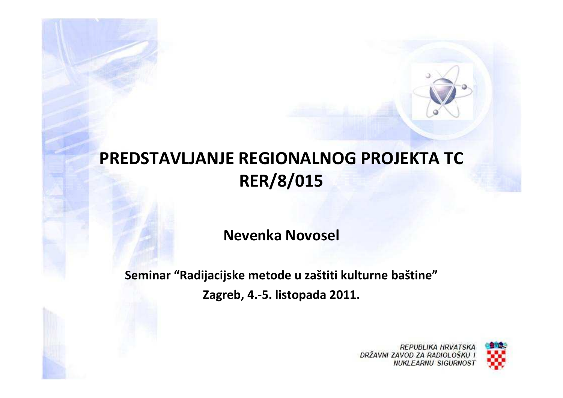#### **PREDSTAVLJANJE REGIONALNOG PROJEKTA TC RER/8/015**

**Nevenka Novosel**

**Seminar "Radijacijske metode u zaštiti kulturne baštine"Zagreb, 4.-5. listopada 2011.**

> **REPUBLIKA HRVATSKA** DRŽAVNI ZAVOD ZA RADIOLOŠKU **NUKLEARNU SIGURNOST**

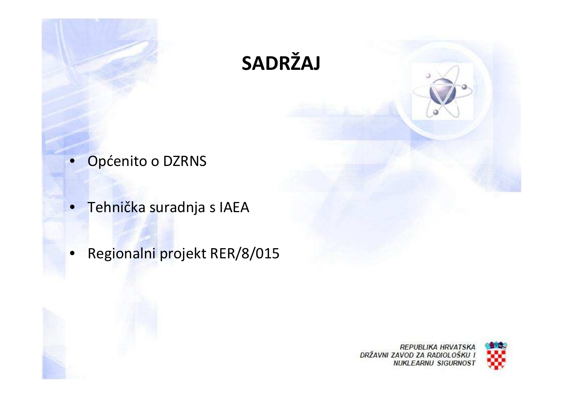

- Općenito o DZRNS
- **Tehnička suradnja s IAEA**
- Regionalni projekt RER/8/015



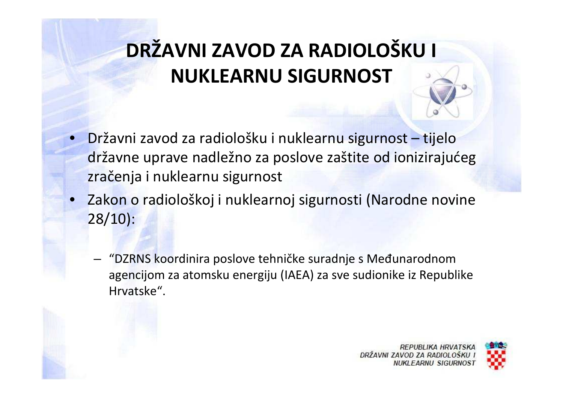# **DRŽAVNI ZAVOD ZA RADIOLOŠKU I NUKLEARNU SIGURNOST**

- • Državni zavod za radiološku i nuklearnu sigurnost – tijelo državne uprave nadležno za poslove zaštite od ionizirajućeg zračenja i nuklearnu sigurnost
- Zakon o radiološkoj i nuklearnoj sigurnosti (Narodne novine 28/10):
	- – "DZRNS koordinira poslove tehničke suradnje s Međunarodnom agencijom za atomsku energiju (IAEA) za sve sudionike iz Republike Hrvatske".



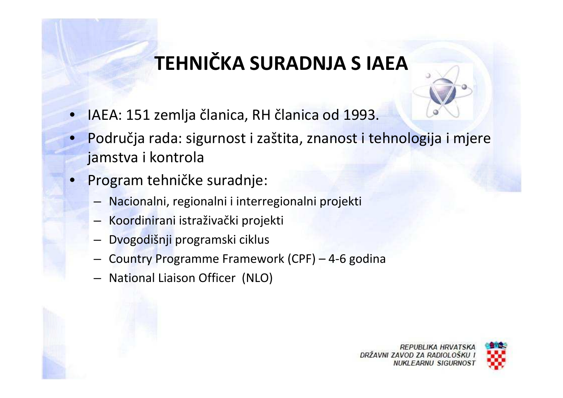## **TEHNIČKA SURADNJA S IAEA**

- IAEA: 151 zemlja članica, RH članica od 1993.
- Područja rada: sigurnost i zaštita, znanost i tehnologija i mjere jamstva i kontrola
- • Program tehničke suradnje:
	- –Nacionalni, regionalni i interregionalni projekti
	- –Koordinirani istraživački projekti
	- –Dvogodišnji programski ciklus
	- –Country Programme Framework (CPF) – 4-6 godina
	- –National Liaison Officer (NLO)



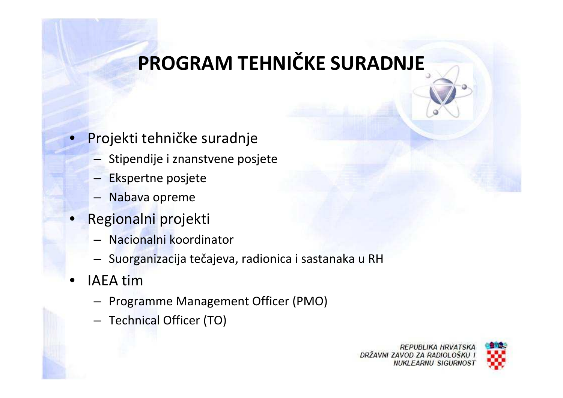### **PROGRAM TEHNIČKE SURADNJE**

- • Projekti tehničke suradnje
	- Stipendije i znanstvene posjete
	- –Ekspertne posjete
	- –Nabava opreme
- • Regionalni projekti
	- Nacionalni koordinator
	- Suorganizacija tečajeva, radionica i sastanaka u RH
- • IAEA tim
	- $-$  Programme Management Officer (PMO) –
	- –Technical Officer (TO)

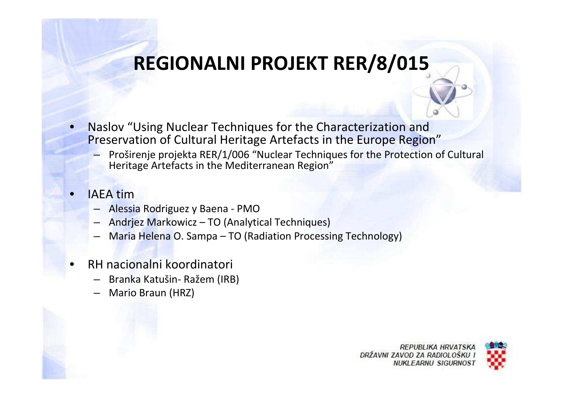### **REGIONALNI PROJEKT RER/8/015**

- $\bullet$  Naslov "Using Nuclear Techniques for the Characterization and Preservation of Cultural Heritage Artefacts in the Europe Region"
	- Proširenje projekta RER/1/006 "Nuclear Techniques for the Protection of Cultural Heritage Artefacts in the Mediterranean Region"
- • IAEA tim
	- Alessia Rodriguez y Baena PMO
	- Andrjez Markowicz TO (Analytical Techniques) –
	- –Maria Helena O. Sampa – TO (Radiation Processing Technology)
- • RH nacionalni koordinatori
	- –Branka Katušin- Ražem (IRB)
	- –Mario Braun (HRZ)



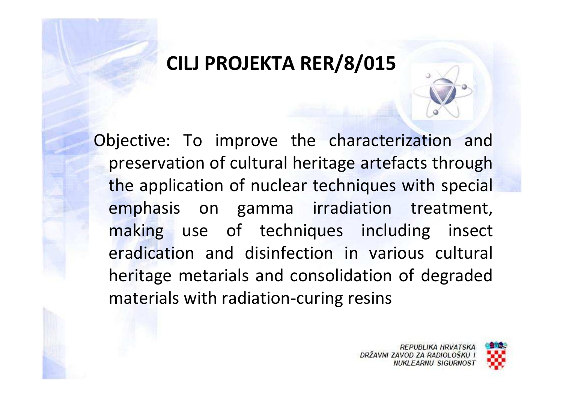#### **CILJ PROJEKTA RER/8/015**

Objective: To improve the characterization and preservation of cultural heritage artefacts through the application of nuclear techniques with special emphasis on gamma irradiation treatment, making use of techniques including insect eradication and disinfection in various cultural heritage metarials and consolidation of degraded materials with radiation-curing resins

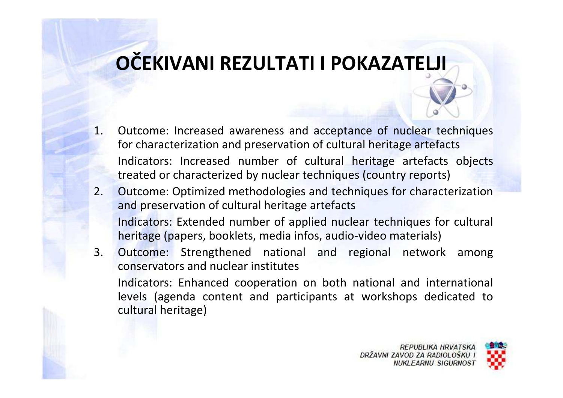#### **OČEKIVANI REZULTATI I POKAZATELJI**

- 1. Outcome: Increased awareness and acceptance of nuclear techniques for characterization and preservation of cultural heritage artefactsIndicators: Increased number of cultural heritage artefacts objects treated or characterized by nuclear techniques (country reports)
- 2. Outcome: Optimized methodologies and techniques for characterization and preservation of cultural heritage artefactsIndicators: Extended number of applied nuclear techniques for cultural heritage (papers, booklets, media infos, audio-video materials)
- 3. Outcome: Strengthened national and regional network among conservators and nuclear institutesIndicators: Enhanced cooperation on both national and international levels (agenda content and participants at workshops dedicated to cultural heritage)

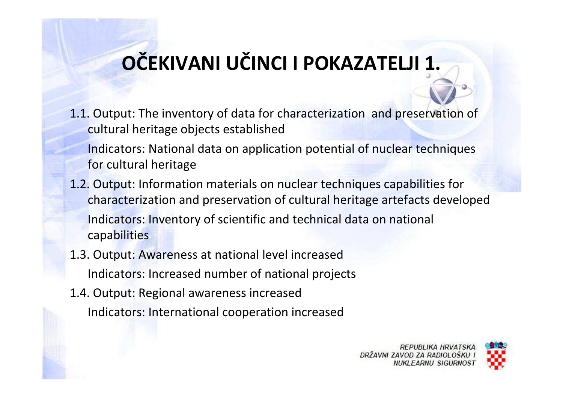# **OČEKIVANI UČINCI I POKAZATELJI 1.**

- 1.1. Output: The inventory of data for characterization and preservation of cultural heritage objects established
	- Indicators: National data on application potential of nuclear techniques for cultural heritage
- 1.2. Output: Information materials on nuclear techniques capabilities for characterization and preservation of cultural heritage artefacts developedIndicators: Inventory of scientific and technical data on national capabilities
- 1.3. Output: Awareness at national level increasedIndicators: Increased number of national projects
- 1.4. Output: Regional awareness increasedIndicators: International cooperation increased

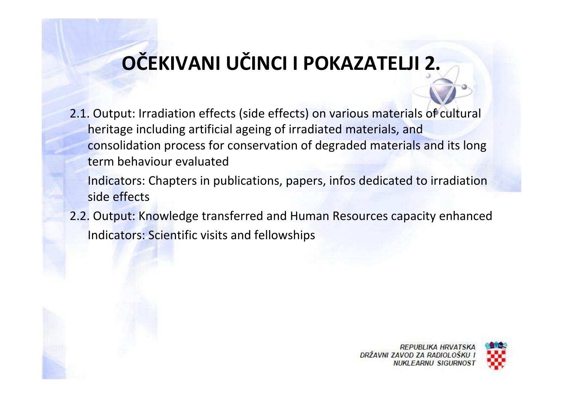## **OČEKIVANI UČINCI I POKAZATELJI 2.**

- 2.1. Output: Irradiation effects (side effects) on various materials of cultural heritage including artificial ageing of irradiated materials, and consolidation process for conservation of degraded materials and its long term behaviour evaluated
	- Indicators: Chapters in publications, papers, infos dedicated to irradiation side effects
- 2.2. Output: Knowledge transferred and Human Resources capacity enhancedIndicators: Scientific visits and fellowships



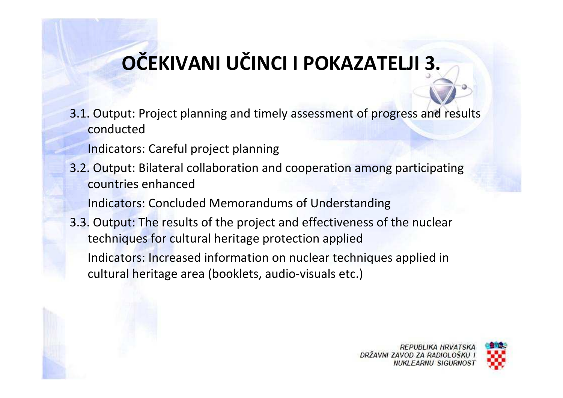# **OČEKIVANI UČINCI I POKAZATELJI 3.**

3.1. Output: Project planning and timely assessment of progress and results conducted

Indicators: Careful project planning

3.2. Output: Bilateral collaboration and cooperation among participating countries enhanced

Indicators: Concluded Memorandums of Understanding

3.3. Output: The results of the project and effectiveness of the nuclear techniques for cultural heritage protection appliedIndicators: Increased information on nuclear techniques applied in cultural heritage area (booklets, audio-visuals etc.)



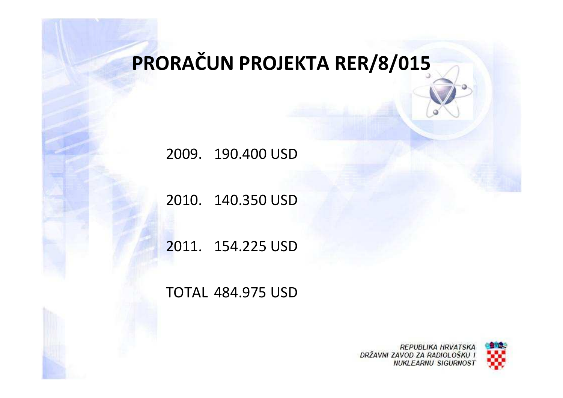## **PRORAČUN PROJEKTA RER/8/015**

2009. 190.400 USD

2010. 140.350 USD

2011. 154.225 USD

#### TOTAL 484.975 USD

**REPUBLIKA HRVATSKA** DRŽAVNI ZAVOD ZA RADIOLOŠKU **NUKLEARNU SIGURNOST**